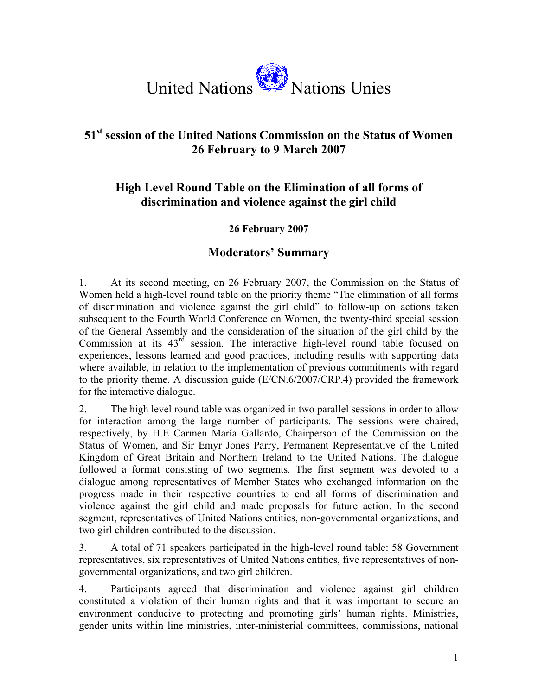

## **51st session of the United Nations Commission on the Status of Women 26 February to 9 March 2007**

## **High Level Round Table on the Elimination of all forms of discrimination and violence against the girl child**

## **26 February 2007**

## **Moderators' Summary**

1. At its second meeting, on 26 February 2007, the Commission on the Status of Women held a high-level round table on the priority theme "The elimination of all forms of discrimination and violence against the girl child" to follow-up on actions taken subsequent to the Fourth World Conference on Women, the twenty-third special session of the General Assembly and the consideration of the situation of the girl child by the Commission at its  $43<sup>rd</sup>$  session. The interactive high-level round table focused on experiences, lessons learned and good practices, including results with supporting data where available, in relation to the implementation of previous commitments with regard to the priority theme. A discussion guide (E/CN.6/2007/CRP.4) provided the framework for the interactive dialogue.

2. The high level round table was organized in two parallel sessions in order to allow for interaction among the large number of participants. The sessions were chaired, respectively, by H.E Carmen María Gallardo, Chairperson of the Commission on the Status of Women, and Sir Emyr Jones Parry, Permanent Representative of the United Kingdom of Great Britain and Northern Ireland to the United Nations. The dialogue followed a format consisting of two segments. The first segment was devoted to a dialogue among representatives of Member States who exchanged information on the progress made in their respective countries to end all forms of discrimination and violence against the girl child and made proposals for future action. In the second segment, representatives of United Nations entities, non-governmental organizations, and two girl children contributed to the discussion.

3. A total of 71 speakers participated in the high-level round table: 58 Government representatives, six representatives of United Nations entities, five representatives of nongovernmental organizations, and two girl children.

4. Participants agreed that discrimination and violence against girl children constituted a violation of their human rights and that it was important to secure an environment conducive to protecting and promoting girls' human rights. Ministries, gender units within line ministries, inter-ministerial committees, commissions, national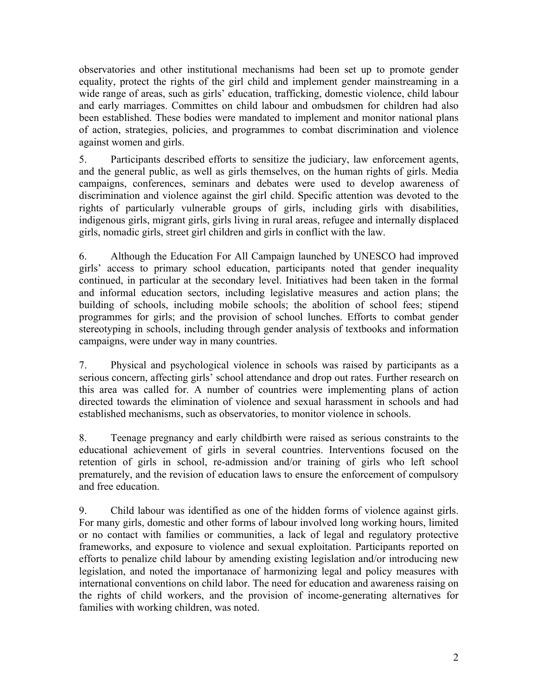observatories and other institutional mechanisms had been set up to promote gender equality, protect the rights of the girl child and implement gender mainstreaming in a wide range of areas, such as girls' education, trafficking, domestic violence, child labour and early marriages. Committes on child labour and ombudsmen for children had also been established. These bodies were mandated to implement and monitor national plans of action, strategies, policies, and programmes to combat discrimination and violence against women and girls.

5. Participants described efforts to sensitize the judiciary, law enforcement agents, and the general public, as well as girls themselves, on the human rights of girls. Media campaigns, conferences, seminars and debates were used to develop awareness of discrimination and violence against the girl child. Specific attention was devoted to the rights of particularly vulnerable groups of girls, including girls with disabilities, indigenous girls, migrant girls, girls living in rural areas, refugee and internally displaced girls, nomadic girls, street girl children and girls in conflict with the law.

6. Although the Education For All Campaign launched by UNESCO had improved girls' access to primary school education, participants noted that gender inequality continued, in particular at the secondary level. Initiatives had been taken in the formal and informal education sectors, including legislative measures and action plans; the building of schools, including mobile schools; the abolition of school fees; stipend programmes for girls; and the provision of school lunches. Efforts to combat gender stereotyping in schools, including through gender analysis of textbooks and information campaigns, were under way in many countries.

7. Physical and psychological violence in schools was raised by participants as a serious concern, affecting girls' school attendance and drop out rates. Further research on this area was called for. A number of countries were implementing plans of action directed towards the elimination of violence and sexual harassment in schools and had established mechanisms, such as observatories, to monitor violence in schools.

8. Teenage pregnancy and early childbirth were raised as serious constraints to the educational achievement of girls in several countries. Interventions focused on the retention of girls in school, re-admission and/or training of girls who left school prematurely, and the revision of education laws to ensure the enforcement of compulsory and free education.

9. Child labour was identified as one of the hidden forms of violence against girls. For many girls, domestic and other forms of labour involved long working hours, limited or no contact with families or communities, a lack of legal and regulatory protective frameworks, and exposure to violence and sexual exploitation. Participants reported on efforts to penalize child labour by amending existing legislation and/or introducing new legislation, and noted the importanace of harmonizing legal and policy measures with international conventions on child labor. The need for education and awareness raising on the rights of child workers, and the provision of income-generating alternatives for families with working children, was noted.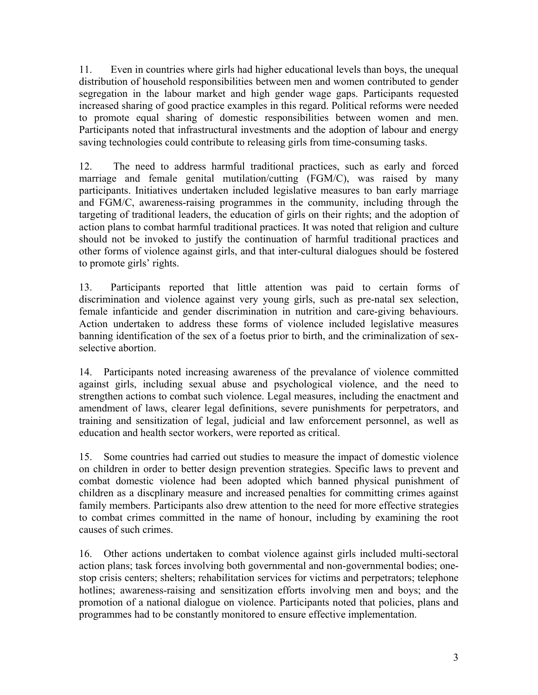11. Even in countries where girls had higher educational levels than boys, the unequal distribution of household responsibilities between men and women contributed to gender segregation in the labour market and high gender wage gaps. Participants requested increased sharing of good practice examples in this regard. Political reforms were needed to promote equal sharing of domestic responsibilities between women and men. Participants noted that infrastructural investments and the adoption of labour and energy saving technologies could contribute to releasing girls from time-consuming tasks.

12. The need to address harmful traditional practices, such as early and forced marriage and female genital mutilation/cutting (FGM/C), was raised by many participants. Initiatives undertaken included legislative measures to ban early marriage and FGM/C, awareness-raising programmes in the community, including through the targeting of traditional leaders, the education of girls on their rights; and the adoption of action plans to combat harmful traditional practices. It was noted that religion and culture should not be invoked to justify the continuation of harmful traditional practices and other forms of violence against girls, and that inter-cultural dialogues should be fostered to promote girls' rights.

13. Participants reported that little attention was paid to certain forms of discrimination and violence against very young girls, such as pre-natal sex selection, female infanticide and gender discrimination in nutrition and care-giving behaviours. Action undertaken to address these forms of violence included legislative measures banning identification of the sex of a foetus prior to birth, and the criminalization of sexselective abortion.

14. Participants noted increasing awareness of the prevalance of violence committed against girls, including sexual abuse and psychological violence, and the need to strengthen actions to combat such violence. Legal measures, including the enactment and amendment of laws, clearer legal definitions, severe punishments for perpetrators, and training and sensitization of legal, judicial and law enforcement personnel, as well as education and health sector workers, were reported as critical.

15. Some countries had carried out studies to measure the impact of domestic violence on children in order to better design prevention strategies. Specific laws to prevent and combat domestic violence had been adopted which banned physical punishment of children as a discplinary measure and increased penalties for committing crimes against family members. Participants also drew attention to the need for more effective strategies to combat crimes committed in the name of honour, including by examining the root causes of such crimes.

16. Other actions undertaken to combat violence against girls included multi-sectoral action plans; task forces involving both governmental and non-governmental bodies; onestop crisis centers; shelters; rehabilitation services for victims and perpetrators; telephone hotlines; awareness-raising and sensitization efforts involving men and boys; and the promotion of a national dialogue on violence. Participants noted that policies, plans and programmes had to be constantly monitored to ensure effective implementation.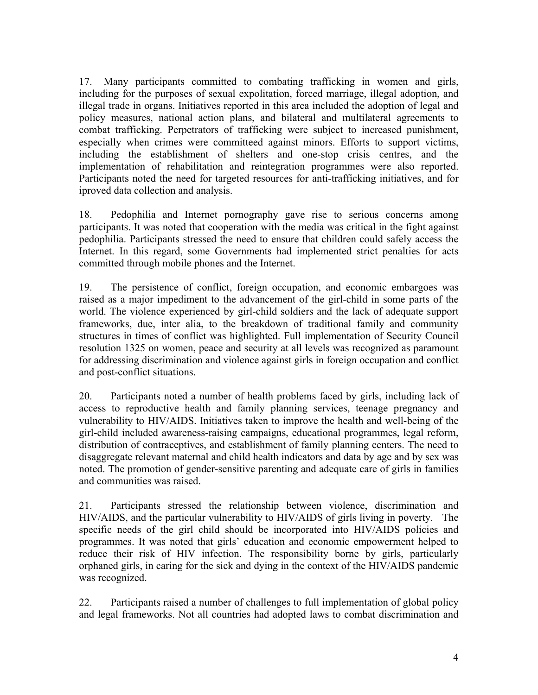17. Many participants committed to combating trafficking in women and girls, including for the purposes of sexual expolitation, forced marriage, illegal adoption, and illegal trade in organs. Initiatives reported in this area included the adoption of legal and policy measures, national action plans, and bilateral and multilateral agreements to combat trafficking. Perpetrators of trafficking were subject to increased punishment, especially when crimes were committeed against minors. Efforts to support victims, including the establishment of shelters and one-stop crisis centres, and the implementation of rehabilitation and reintegration programmes were also reported. Participants noted the need for targeted resources for anti-trafficking initiatives, and for iproved data collection and analysis.

18. Pedophilia and Internet pornography gave rise to serious concerns among participants. It was noted that cooperation with the media was critical in the fight against pedophilia. Participants stressed the need to ensure that children could safely access the Internet. In this regard, some Governments had implemented strict penalties for acts committed through mobile phones and the Internet.

19. The persistence of conflict, foreign occupation, and economic embargoes was raised as a major impediment to the advancement of the girl-child in some parts of the world. The violence experienced by girl-child soldiers and the lack of adequate support frameworks, due, inter alia, to the breakdown of traditional family and community structures in times of conflict was highlighted. Full implementation of Security Council resolution 1325 on women, peace and security at all levels was recognized as paramount for addressing discrimination and violence against girls in foreign occupation and conflict and post-conflict situations.

20. Participants noted a number of health problems faced by girls, including lack of access to reproductive health and family planning services, teenage pregnancy and vulnerability to HIV/AIDS. Initiatives taken to improve the health and well-being of the girl-child included awareness-raising campaigns, educational programmes, legal reform, distribution of contraceptives, and establishment of family planning centers. The need to disaggregate relevant maternal and child health indicators and data by age and by sex was noted. The promotion of gender-sensitive parenting and adequate care of girls in families and communities was raised.

21. Participants stressed the relationship between violence, discrimination and HIV/AIDS, and the particular vulnerability to HIV/AIDS of girls living in poverty. The specific needs of the girl child should be incorporated into HIV/AIDS policies and programmes. It was noted that girls' education and economic empowerment helped to reduce their risk of HIV infection. The responsibility borne by girls, particularly orphaned girls, in caring for the sick and dying in the context of the HIV/AIDS pandemic was recognized.

22. Participants raised a number of challenges to full implementation of global policy and legal frameworks. Not all countries had adopted laws to combat discrimination and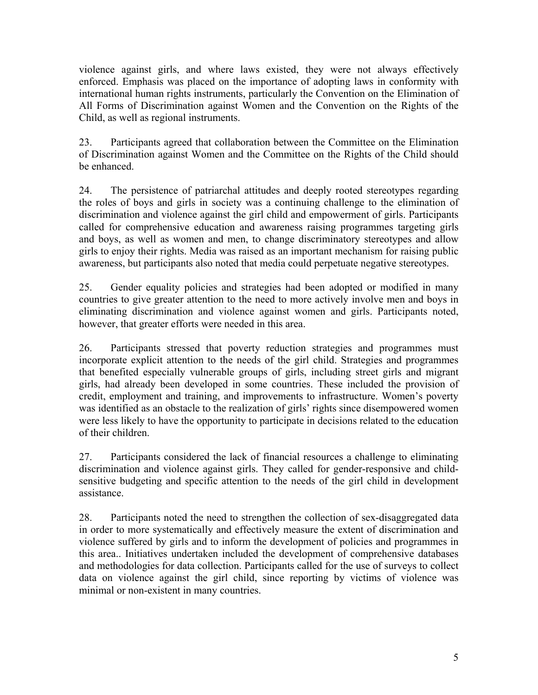violence against girls, and where laws existed, they were not always effectively enforced. Emphasis was placed on the importance of adopting laws in conformity with international human rights instruments, particularly the Convention on the Elimination of All Forms of Discrimination against Women and the Convention on the Rights of the Child, as well as regional instruments.

23. Participants agreed that collaboration between the Committee on the Elimination of Discrimination against Women and the Committee on the Rights of the Child should be enhanced.

24. The persistence of patriarchal attitudes and deeply rooted stereotypes regarding the roles of boys and girls in society was a continuing challenge to the elimination of discrimination and violence against the girl child and empowerment of girls. Participants called for comprehensive education and awareness raising programmes targeting girls and boys, as well as women and men, to change discriminatory stereotypes and allow girls to enjoy their rights. Media was raised as an important mechanism for raising public awareness, but participants also noted that media could perpetuate negative stereotypes.

25. Gender equality policies and strategies had been adopted or modified in many countries to give greater attention to the need to more actively involve men and boys in eliminating discrimination and violence against women and girls. Participants noted, however, that greater efforts were needed in this area.

26. Participants stressed that poverty reduction strategies and programmes must incorporate explicit attention to the needs of the girl child. Strategies and programmes that benefited especially vulnerable groups of girls, including street girls and migrant girls, had already been developed in some countries. These included the provision of credit, employment and training, and improvements to infrastructure. Women's poverty was identified as an obstacle to the realization of girls' rights since disempowered women were less likely to have the opportunity to participate in decisions related to the education of their children.

27. Participants considered the lack of financial resources a challenge to eliminating discrimination and violence against girls. They called for gender-responsive and childsensitive budgeting and specific attention to the needs of the girl child in development assistance.

28. Participants noted the need to strengthen the collection of sex-disaggregated data in order to more systematically and effectively measure the extent of discrimination and violence suffered by girls and to inform the development of policies and programmes in this area.. Initiatives undertaken included the development of comprehensive databases and methodologies for data collection. Participants called for the use of surveys to collect data on violence against the girl child, since reporting by victims of violence was minimal or non-existent in many countries.